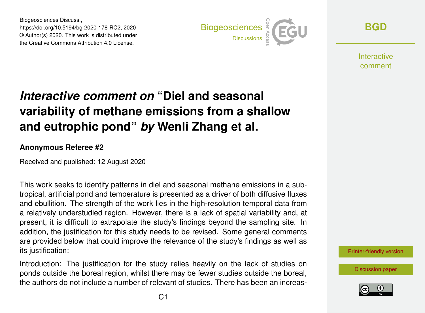Biogeosciences Discuss., https://doi.org/10.5194/bg-2020-178-RC2, 2020 © Author(s) 2020. This work is distributed under the Creative Commons Attribution 4.0 License.



**[BGD](https://bg.copernicus.org/preprints/)**

**Interactive** comment

## *Interactive comment on* **"Diel and seasonal variability of methane emissions from a shallow and eutrophic pond"** *by* **Wenli Zhang et al.**

## **Anonymous Referee #2**

Received and published: 12 August 2020

This work seeks to identify patterns in diel and seasonal methane emissions in a subtropical, artificial pond and temperature is presented as a driver of both diffusive fluxes and ebullition. The strength of the work lies in the high-resolution temporal data from a relatively understudied region. However, there is a lack of spatial variability and, at present, it is difficult to extrapolate the study's findings beyond the sampling site. In addition, the justification for this study needs to be revised. Some general comments are provided below that could improve the relevance of the study's findings as well as its justification:

Introduction: The justification for the study relies heavily on the lack of studies on ponds outside the boreal region, whilst there may be fewer studies outside the boreal, the authors do not include a number of relevant of studies. There has been an increas-



[Discussion paper](https://bg.copernicus.org/preprints/bg-2020-178)

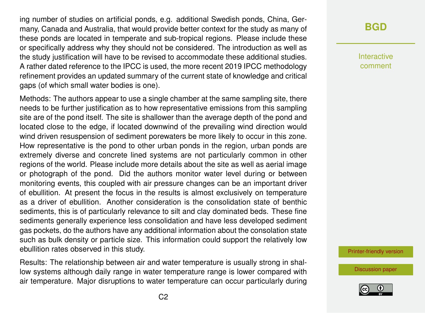ing number of studies on artificial ponds, e.g. additional Swedish ponds, China, Germany, Canada and Australia, that would provide better context for the study as many of these ponds are located in temperate and sub-tropical regions. Please include these or specifically address why they should not be considered. The introduction as well as the study justification will have to be revised to accommodate these additional studies. A rather dated reference to the IPCC is used, the more recent 2019 IPCC methodology refinement provides an updated summary of the current state of knowledge and critical gaps (of which small water bodies is one).

Methods: The authors appear to use a single chamber at the same sampling site, there needs to be further justification as to how representative emissions from this sampling site are of the pond itself. The site is shallower than the average depth of the pond and located close to the edge, if located downwind of the prevailing wind direction would wind driven resuspension of sediment porewaters be more likely to occur in this zone. How representative is the pond to other urban ponds in the region, urban ponds are extremely diverse and concrete lined systems are not particularly common in other regions of the world. Please include more details about the site as well as aerial image or photograph of the pond. Did the authors monitor water level during or between monitoring events, this coupled with air pressure changes can be an important driver of ebullition. At present the focus in the results is almost exclusively on temperature as a driver of ebullition. Another consideration is the consolidation state of benthic sediments, this is of particularly relevance to silt and clay dominated beds. These fine sediments generally experience less consolidation and have less developed sediment gas pockets, do the authors have any additional information about the consolation state such as bulk density or particle size. This information could support the relatively low ebullition rates observed in this study.

Results: The relationship between air and water temperature is usually strong in shallow systems although daily range in water temperature range is lower compared with air temperature. Major disruptions to water temperature can occur particularly during

## **[BGD](https://bg.copernicus.org/preprints/)**

Interactive comment

[Printer-friendly version](https://bg.copernicus.org/preprints/bg-2020-178/bg-2020-178-RC2-print.pdf)

[Discussion paper](https://bg.copernicus.org/preprints/bg-2020-178)